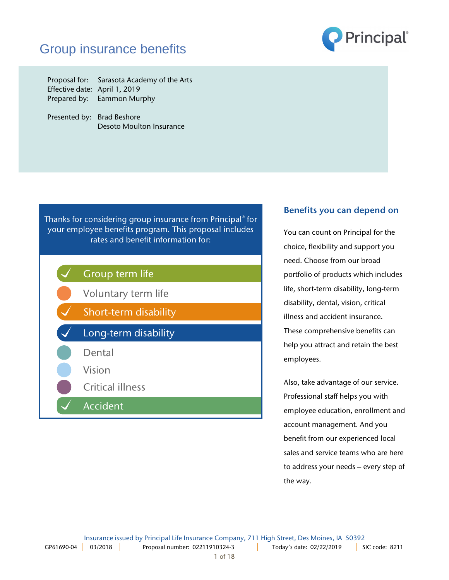# Group insurance benefits



Proposal for: Sarasota Academy of the Arts Effective date: April 1, 2019 Prepared by: Eammon Murphy

Presented by: Brad Beshore Desoto Moulton Insurance

Thanks for considering group insurance from Principal® for your employee benefits program. This proposal includes rates and benefit information for:



## Benefits you can depend on

You can count on Principal for the choice, flexibility and support you need. Choose from our broad portfolio of products which includes life, short-term disability, long-term disability, dental, vision, critical illness and accident insurance. These comprehensive benefits can help you attract and retain the best employees.

Also, take advantage of our service. Professional staff helps you with employee education, enrollment and account management. And you benefit from our experienced local sales and service teams who are here to address your needs – every step of the way.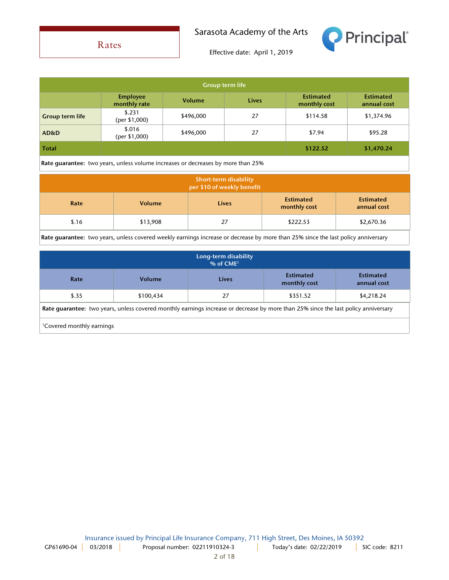

Rates

Effective date: April 1, 2019

| <b>Group term life</b>                                                                  |                                 |               |              |                                  |                                 |
|-----------------------------------------------------------------------------------------|---------------------------------|---------------|--------------|----------------------------------|---------------------------------|
|                                                                                         | <b>Employee</b><br>monthly rate | <b>Volume</b> | <b>Lives</b> | <b>Estimated</b><br>monthly cost | <b>Estimated</b><br>annual cost |
| <b>Group term life</b>                                                                  | \$.231<br>(per \$1,000)         | \$496,000     | 27           | \$114.58                         | \$1,374.96                      |
| <b>AD&amp;D</b>                                                                         | \$.016<br>(per \$1,000)         | \$496,000     | 27           | \$7.94                           | \$95.28                         |
| <b>Total</b><br>\$122.52<br>\$1,470.24                                                  |                                 |               |              |                                  |                                 |
| <b>Rate quarantee:</b> two years, unless volume increases or decreases by more than 25% |                                 |               |              |                                  |                                 |

| <b>Short-term disability</b><br>per \$10 of weekly benefit |               |              |                                  |                                 |
|------------------------------------------------------------|---------------|--------------|----------------------------------|---------------------------------|
| Rate                                                       | <b>Volume</b> | <b>Lives</b> | <b>Estimated</b><br>monthly cost | <b>Estimated</b><br>annual cost |
| \$.16                                                      | \$13,908      | 27           | \$222.53                         | \$2,670.36                      |

Rate guarantee: two years, unless covered weekly earnings increase or decrease by more than 25% since the last policy anniversary

| Long-term disability<br>$%$ of CME <sup>1</sup>                                                                                    |               |       |                                  |                                 |
|------------------------------------------------------------------------------------------------------------------------------------|---------------|-------|----------------------------------|---------------------------------|
| Rate                                                                                                                               | <b>Volume</b> | Lives | <b>Estimated</b><br>monthly cost | <b>Estimated</b><br>annual cost |
| \$.35                                                                                                                              | \$100,434     | 27    | \$351.52                         | \$4,218.24                      |
| Rate quarantee: two years, unless covered monthly earnings increase or decrease by more than 25% since the last policy anniversary |               |       |                                  |                                 |
| <sup>1</sup> Covered monthly earnings                                                                                              |               |       |                                  |                                 |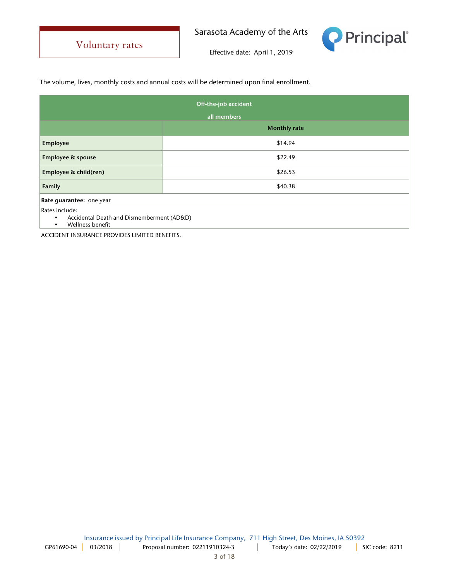

Effective date: April 1, 2019

The volume, lives, monthly costs and annual costs will be determined upon final enrollment.

| Off-the-job accident                                                                                      |                     |  |
|-----------------------------------------------------------------------------------------------------------|---------------------|--|
| all members                                                                                               |                     |  |
|                                                                                                           | <b>Monthly rate</b> |  |
| Employee                                                                                                  | \$14.94             |  |
| <b>Employee &amp; spouse</b>                                                                              | \$22.49             |  |
| Employee & child(ren)                                                                                     | \$26.53             |  |
| Family                                                                                                    | \$40.38             |  |
| Rate guarantee: one year                                                                                  |                     |  |
| Rates include:<br>Accidental Death and Dismemberment (AD&D)<br>$\bullet$<br>Wellness benefit<br>$\bullet$ |                     |  |

ACCIDENT INSURANCE PROVIDES LIMITED BENEFITS.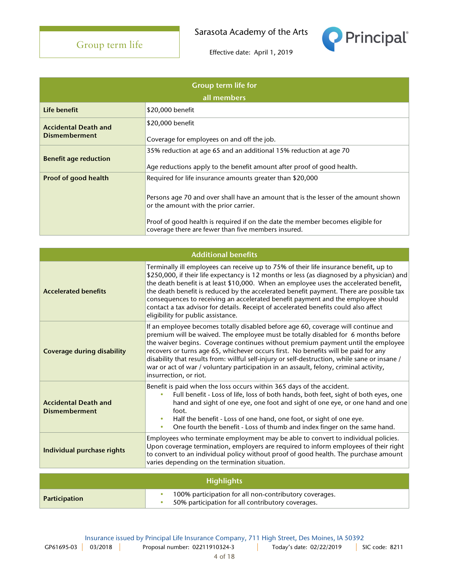

| <b>Group term life for</b><br>all members           |                                                                                                                                                                                                                                                                                                                                     |  |
|-----------------------------------------------------|-------------------------------------------------------------------------------------------------------------------------------------------------------------------------------------------------------------------------------------------------------------------------------------------------------------------------------------|--|
| Life benefit                                        | \$20,000 benefit                                                                                                                                                                                                                                                                                                                    |  |
| <b>Accidental Death and</b><br><b>Dismemberment</b> | \$20,000 benefit<br>Coverage for employees on and off the job.                                                                                                                                                                                                                                                                      |  |
| <b>Benefit age reduction</b>                        | 35% reduction at age 65 and an additional 15% reduction at age 70<br>Age reductions apply to the benefit amount after proof of good health.                                                                                                                                                                                         |  |
| Proof of good health                                | Required for life insurance amounts greater than \$20,000<br>Persons age 70 and over shall have an amount that is the lesser of the amount shown<br>or the amount with the prior carrier.<br>Proof of good health is required if on the date the member becomes eligible for<br>coverage there are fewer than five members insured. |  |

| <b>Additional benefits</b>                          |                                                                                                                                                                                                                                                                                                                                                                                                                                                                                                                                                                                            |  |
|-----------------------------------------------------|--------------------------------------------------------------------------------------------------------------------------------------------------------------------------------------------------------------------------------------------------------------------------------------------------------------------------------------------------------------------------------------------------------------------------------------------------------------------------------------------------------------------------------------------------------------------------------------------|--|
| <b>Accelerated benefits</b>                         | Terminally ill employees can receive up to 75% of their life insurance benefit, up to<br>\$250,000, if their life expectancy is 12 months or less (as diagnosed by a physician) and<br>the death benefit is at least \$10,000. When an employee uses the accelerated benefit,<br>the death benefit is reduced by the accelerated benefit payment. There are possible tax<br>consequences to receiving an accelerated benefit payment and the employee should<br>contact a tax advisor for details. Receipt of accelerated benefits could also affect<br>eligibility for public assistance. |  |
| <b>Coverage during disability</b>                   | If an employee becomes totally disabled before age 60, coverage will continue and<br>premium will be waived. The employee must be totally disabled for 6 months before<br>the waiver begins. Coverage continues without premium payment until the employee<br>recovers or turns age 65, whichever occurs first. No benefits will be paid for any<br>disability that results from: willful self-injury or self-destruction, while sane or insane /<br>war or act of war / voluntary participation in an assault, felony, criminal activity,<br>insurrection, or riot.                       |  |
| <b>Accidental Death and</b><br><b>Dismemberment</b> | Benefit is paid when the loss occurs within 365 days of the accident.<br>Full benefit - Loss of life, loss of both hands, both feet, sight of both eyes, one<br>hand and sight of one eye, one foot and sight of one eye, or one hand and one<br>foot.<br>Half the benefit - Loss of one hand, one foot, or sight of one eye.<br>One fourth the benefit - Loss of thumb and index finger on the same hand.<br>$\bullet$                                                                                                                                                                    |  |
| Individual purchase rights                          | Employees who terminate employment may be able to convert to individual policies.<br>Upon coverage termination, employers are required to inform employees of their right<br>to convert to an individual policy without proof of good health. The purchase amount<br>varies depending on the termination situation.                                                                                                                                                                                                                                                                        |  |
|                                                     | <b>Highlights</b>                                                                                                                                                                                                                                                                                                                                                                                                                                                                                                                                                                          |  |
| Participation                                       | 100% participation for all non-contributory coverages.<br>$\bullet$<br>50% participation for all contributory coverages.                                                                                                                                                                                                                                                                                                                                                                                                                                                                   |  |

Insurance issued by Principal Life Insurance Company, 711 High Street, Des Moines, IA 50392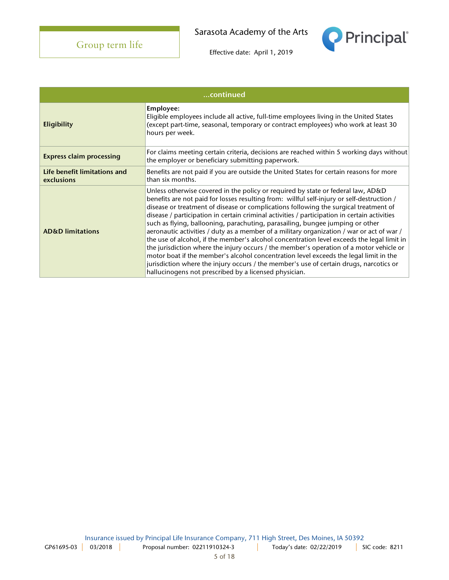**Principal** 

| continued                                  |                                                                                                                                                                                                                                                                                                                                                                                                                                                                                                                                                                                                                                                                                                                                                                                                                                                                                                                                                                                           |  |
|--------------------------------------------|-------------------------------------------------------------------------------------------------------------------------------------------------------------------------------------------------------------------------------------------------------------------------------------------------------------------------------------------------------------------------------------------------------------------------------------------------------------------------------------------------------------------------------------------------------------------------------------------------------------------------------------------------------------------------------------------------------------------------------------------------------------------------------------------------------------------------------------------------------------------------------------------------------------------------------------------------------------------------------------------|--|
| <b>Eligibility</b>                         | Employee:<br>Eligible employees include all active, full-time employees living in the United States<br>(except part-time, seasonal, temporary or contract employees) who work at least 30<br>hours per week.                                                                                                                                                                                                                                                                                                                                                                                                                                                                                                                                                                                                                                                                                                                                                                              |  |
| <b>Express claim processing</b>            | For claims meeting certain criteria, decisions are reached within 5 working days without<br>the employer or beneficiary submitting paperwork.                                                                                                                                                                                                                                                                                                                                                                                                                                                                                                                                                                                                                                                                                                                                                                                                                                             |  |
| Life benefit limitations and<br>exclusions | Benefits are not paid if you are outside the United States for certain reasons for more<br>than six months.                                                                                                                                                                                                                                                                                                                                                                                                                                                                                                                                                                                                                                                                                                                                                                                                                                                                               |  |
| <b>AD&amp;D</b> limitations                | Unless otherwise covered in the policy or required by state or federal law, AD&D<br>benefits are not paid for losses resulting from: willful self-injury or self-destruction /<br>disease or treatment of disease or complications following the surgical treatment of<br>disease / participation in certain criminal activities / participation in certain activities<br>such as flying, ballooning, parachuting, parasailing, bungee jumping or other<br>aeronautic activities / duty as a member of a military organization / war or act of war /<br>the use of alcohol, if the member's alcohol concentration level exceeds the legal limit in<br>the jurisdiction where the injury occurs / the member's operation of a motor vehicle or<br>motor boat if the member's alcohol concentration level exceeds the legal limit in the<br>jurisdiction where the injury occurs / the member's use of certain drugs, narcotics or<br>hallucinogens not prescribed by a licensed physician. |  |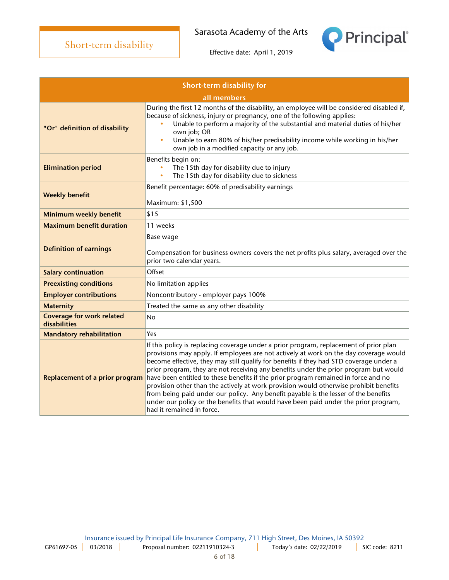Principal®

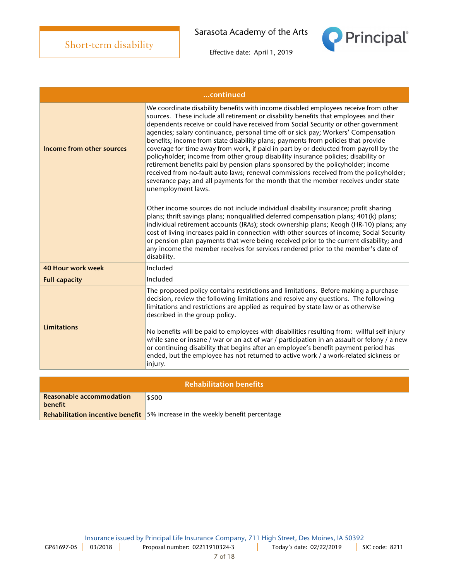

|                           | continued                                                                                                                                                                                                                                                                                                                                                                                                                                                                                                                                                                                                                                                                                                                                                                                                                                                                                                           |
|---------------------------|---------------------------------------------------------------------------------------------------------------------------------------------------------------------------------------------------------------------------------------------------------------------------------------------------------------------------------------------------------------------------------------------------------------------------------------------------------------------------------------------------------------------------------------------------------------------------------------------------------------------------------------------------------------------------------------------------------------------------------------------------------------------------------------------------------------------------------------------------------------------------------------------------------------------|
| Income from other sources | We coordinate disability benefits with income disabled employees receive from other<br>sources. These include all retirement or disability benefits that employees and their<br>dependents receive or could have received from Social Security or other government<br>agencies; salary continuance, personal time off or sick pay; Workers' Compensation<br>benefits; income from state disability plans; payments from policies that provide<br>coverage for time away from work, if paid in part by or deducted from payroll by the<br>policyholder; income from other group disability insurance policies; disability or<br>retirement benefits paid by pension plans sponsored by the policyholder; income<br>received from no-fault auto laws; renewal commissions received from the policyholder;<br>severance pay; and all payments for the month that the member receives under state<br>unemployment laws. |
|                           | Other income sources do not include individual disability insurance; profit sharing<br>plans; thrift savings plans; nonqualified deferred compensation plans; 401(k) plans;<br>individual retirement accounts (IRAs); stock ownership plans; Keogh (HR-10) plans; any<br>cost of living increases paid in connection with other sources of income; Social Security<br>or pension plan payments that were being received prior to the current disability; and<br>any income the member receives for services rendered prior to the member's date of<br>disability.                                                                                                                                                                                                                                                                                                                                                   |
| <b>40 Hour work week</b>  | Included                                                                                                                                                                                                                                                                                                                                                                                                                                                                                                                                                                                                                                                                                                                                                                                                                                                                                                            |
| <b>Full capacity</b>      | Included                                                                                                                                                                                                                                                                                                                                                                                                                                                                                                                                                                                                                                                                                                                                                                                                                                                                                                            |
| <b>Limitations</b>        | The proposed policy contains restrictions and limitations. Before making a purchase<br>decision, review the following limitations and resolve any questions. The following<br>limitations and restrictions are applied as required by state law or as otherwise<br>described in the group policy.<br>No benefits will be paid to employees with disabilities resulting from: willful self injury<br>while sane or insane / war or an act of war / participation in an assault or felony / a new<br>or continuing disability that begins after an employee's benefit payment period has<br>ended, but the employee has not returned to active work / a work-related sickness or<br>injury.                                                                                                                                                                                                                           |

| <b>Rehabilitation benefits</b>      |                                                                                      |  |
|-------------------------------------|--------------------------------------------------------------------------------------|--|
| Reasonable accommodation<br>benefit | \$500                                                                                |  |
|                                     | <b>Rehabilitation incentive benefit</b> 5% increase in the weekly benefit percentage |  |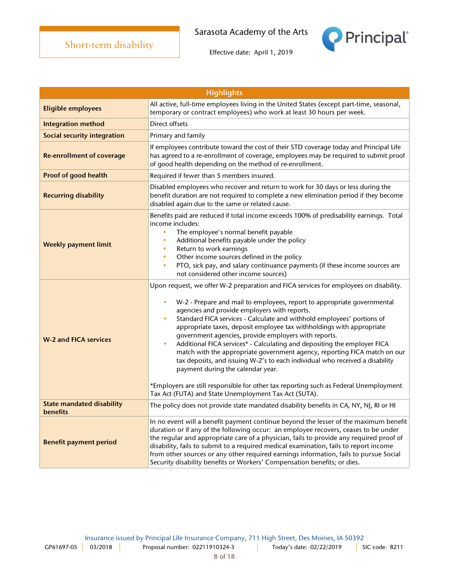

| <b>Highlights</b>                                   |                                                                                                                                                                                                                                                                                                                                                                                                                                                                                                                                                                                                                                                                                                                                                                                                                                                                                                    |  |
|-----------------------------------------------------|----------------------------------------------------------------------------------------------------------------------------------------------------------------------------------------------------------------------------------------------------------------------------------------------------------------------------------------------------------------------------------------------------------------------------------------------------------------------------------------------------------------------------------------------------------------------------------------------------------------------------------------------------------------------------------------------------------------------------------------------------------------------------------------------------------------------------------------------------------------------------------------------------|--|
| <b>Eligible employees</b>                           | All active, full-time employees living in the United States (except part-time, seasonal,<br>temporary or contract employees) who work at least 30 hours per week.                                                                                                                                                                                                                                                                                                                                                                                                                                                                                                                                                                                                                                                                                                                                  |  |
| <b>Integration method</b>                           | Direct offsets                                                                                                                                                                                                                                                                                                                                                                                                                                                                                                                                                                                                                                                                                                                                                                                                                                                                                     |  |
| <b>Social security integration</b>                  | Primary and family                                                                                                                                                                                                                                                                                                                                                                                                                                                                                                                                                                                                                                                                                                                                                                                                                                                                                 |  |
| <b>Re-enrollment of coverage</b>                    | If employees contribute toward the cost of their STD coverage today and Principal Life<br>has agreed to a re-enrollment of coverage, employees may be required to submit proof<br>of good health depending on the method of re-enrollment.                                                                                                                                                                                                                                                                                                                                                                                                                                                                                                                                                                                                                                                         |  |
| <b>Proof of good health</b>                         | Required if fewer than 5 members insured.                                                                                                                                                                                                                                                                                                                                                                                                                                                                                                                                                                                                                                                                                                                                                                                                                                                          |  |
| <b>Recurring disability</b>                         | Disabled employees who recover and return to work for 30 days or less during the<br>benefit duration are not required to complete a new elimination period if they become<br>disabled again due to the same or related cause.                                                                                                                                                                                                                                                                                                                                                                                                                                                                                                                                                                                                                                                                      |  |
| <b>Weekly payment limit</b>                         | Benefits paid are reduced if total income exceeds 100% of predisability earnings. Total<br>income includes:<br>The employee's normal benefit payable<br>$\bullet$<br>Additional benefits payable under the policy<br>$\bullet$<br>Return to work earnings<br>$\bullet$<br>Other income sources defined in the policy<br>$\bullet$<br>PTO, sick pay, and salary continuance payments (if these income sources are<br>$\bullet$<br>not considered other income sources)                                                                                                                                                                                                                                                                                                                                                                                                                              |  |
| <b>W-2 and FICA services</b>                        | Upon request, we offer W-2 preparation and FICA services for employees on disability.<br>W-2 - Prepare and mail to employees, report to appropriate governmental<br>$\bullet$<br>agencies and provide employers with reports.<br>Standard FICA services - Calculate and withhold employees' portions of<br>$\bullet$<br>appropriate taxes, deposit employee tax withholdings with appropriate<br>government agencies, provide employers with reports.<br>Additional FICA services* - Calculating and depositing the employer FICA<br>$\bullet$<br>match with the appropriate government agency, reporting FICA match on our<br>tax deposits, and issuing W-2's to each individual who received a disability<br>payment during the calendar year.<br>*Employers are still responsible for other tax reporting such as Federal Unemployment<br>Tax Act (FUTA) and State Unemployment Tax Act (SUTA). |  |
| <b>State mandated disability</b><br><b>benefits</b> | The policy does not provide state mandated disability benefits in CA, NY, NJ, RI or HI                                                                                                                                                                                                                                                                                                                                                                                                                                                                                                                                                                                                                                                                                                                                                                                                             |  |
| <b>Benefit payment period</b>                       | In no event will a benefit payment continue beyond the lesser of the maximum benefit<br>duration or if any of the following occur: an employee recovers, ceases to be under<br>the regular and appropriate care of a physician, fails to provide any required proof of<br>disability, fails to submit to a required medical examination, fails to report income<br>from other sources or any other required earnings information, fails to pursue Social<br>Security disability benefits or Workers' Compensation benefits; or dies.                                                                                                                                                                                                                                                                                                                                                               |  |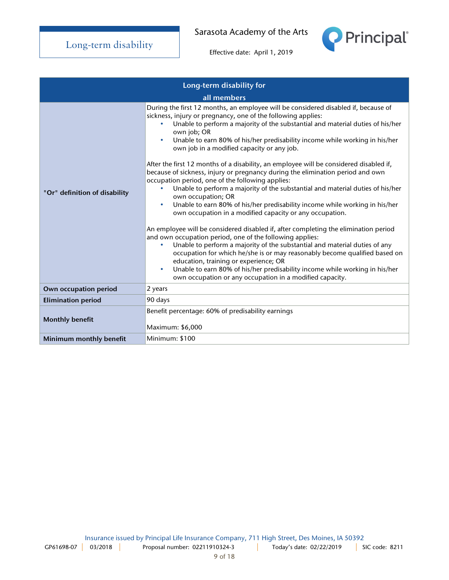

| Long-term disability for      |                                                                                                                                                                                                                                                                                                                                                                                                                                                                                                                                                                                                                                                                                                                                                                                                                                                                                                                                                                                                                                                                                                                                                                                                                                                                                                                                                                                                                                         |  |
|-------------------------------|-----------------------------------------------------------------------------------------------------------------------------------------------------------------------------------------------------------------------------------------------------------------------------------------------------------------------------------------------------------------------------------------------------------------------------------------------------------------------------------------------------------------------------------------------------------------------------------------------------------------------------------------------------------------------------------------------------------------------------------------------------------------------------------------------------------------------------------------------------------------------------------------------------------------------------------------------------------------------------------------------------------------------------------------------------------------------------------------------------------------------------------------------------------------------------------------------------------------------------------------------------------------------------------------------------------------------------------------------------------------------------------------------------------------------------------------|--|
|                               | all members                                                                                                                                                                                                                                                                                                                                                                                                                                                                                                                                                                                                                                                                                                                                                                                                                                                                                                                                                                                                                                                                                                                                                                                                                                                                                                                                                                                                                             |  |
| "Or" definition of disability | During the first 12 months, an employee will be considered disabled if, because of<br>sickness, injury or pregnancy, one of the following applies:<br>Unable to perform a majority of the substantial and material duties of his/her<br>own job; OR<br>Unable to earn 80% of his/her predisability income while working in his/her<br>$\bullet$<br>own job in a modified capacity or any job.<br>After the first 12 months of a disability, an employee will be considered disabled if,<br>because of sickness, injury or pregnancy during the elimination period and own<br>occupation period, one of the following applies:<br>Unable to perform a majority of the substantial and material duties of his/her<br>$\bullet$<br>own occupation; OR<br>Unable to earn 80% of his/her predisability income while working in his/her<br>$\bullet$<br>own occupation in a modified capacity or any occupation.<br>An employee will be considered disabled if, after completing the elimination period<br>and own occupation period, one of the following applies:<br>Unable to perform a majority of the substantial and material duties of any<br>$\bullet$<br>occupation for which he/she is or may reasonably become qualified based on<br>education, training or experience; OR<br>Unable to earn 80% of his/her predisability income while working in his/her<br>$\bullet$<br>own occupation or any occupation in a modified capacity. |  |
| Own occupation period         | 2 years                                                                                                                                                                                                                                                                                                                                                                                                                                                                                                                                                                                                                                                                                                                                                                                                                                                                                                                                                                                                                                                                                                                                                                                                                                                                                                                                                                                                                                 |  |
| <b>Elimination period</b>     | 90 days                                                                                                                                                                                                                                                                                                                                                                                                                                                                                                                                                                                                                                                                                                                                                                                                                                                                                                                                                                                                                                                                                                                                                                                                                                                                                                                                                                                                                                 |  |
| <b>Monthly benefit</b>        | Benefit percentage: 60% of predisability earnings<br>Maximum: \$6,000                                                                                                                                                                                                                                                                                                                                                                                                                                                                                                                                                                                                                                                                                                                                                                                                                                                                                                                                                                                                                                                                                                                                                                                                                                                                                                                                                                   |  |
| Minimum monthly benefit       | Minimum: \$100                                                                                                                                                                                                                                                                                                                                                                                                                                                                                                                                                                                                                                                                                                                                                                                                                                                                                                                                                                                                                                                                                                                                                                                                                                                                                                                                                                                                                          |  |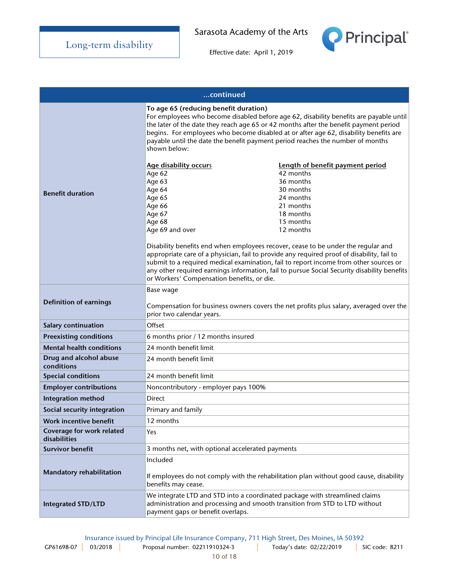

| continued                                                                                                                                                         |                                                                                                                                                                                                                                                                                                                                                                                                                                                                                                                                                                                                                                                                                                                                                                                                                                                                                                                                                               |  |
|-------------------------------------------------------------------------------------------------------------------------------------------------------------------|---------------------------------------------------------------------------------------------------------------------------------------------------------------------------------------------------------------------------------------------------------------------------------------------------------------------------------------------------------------------------------------------------------------------------------------------------------------------------------------------------------------------------------------------------------------------------------------------------------------------------------------------------------------------------------------------------------------------------------------------------------------------------------------------------------------------------------------------------------------------------------------------------------------------------------------------------------------|--|
| <b>Benefit duration</b>                                                                                                                                           | To age 65 (reducing benefit duration)<br>For employees who become disabled before age 62, disability benefits are payable until<br>the later of the date they reach age 65 or 42 months after the benefit payment period<br>begins. For employees who become disabled at or after age 62, disability benefits are<br>payable until the date the benefit payment period reaches the number of months<br>shown below:<br>Age disability occurs<br>Length of benefit payment period<br>42 months<br>Age 62<br>36 months<br>Age 63<br>30 months<br>Age 64<br>Age 65<br>24 months<br>Age 66<br>21 months<br>Age 67<br>18 months<br>Age 68<br>15 months<br>Age 69 and over<br>12 months<br>Disability benefits end when employees recover, cease to be under the regular and<br>appropriate care of a physician, fail to provide any required proof of disability, fail to<br>submit to a required medical examination, fail to report income from other sources or |  |
|                                                                                                                                                                   | any other required earnings information, fail to pursue Social Security disability benefits<br>or Workers' Compensation benefits, or die.                                                                                                                                                                                                                                                                                                                                                                                                                                                                                                                                                                                                                                                                                                                                                                                                                     |  |
| Base wage<br><b>Definition of earnings</b><br>Compensation for business owners covers the net profits plus salary, averaged over the<br>prior two calendar years. |                                                                                                                                                                                                                                                                                                                                                                                                                                                                                                                                                                                                                                                                                                                                                                                                                                                                                                                                                               |  |
| Salary continuation                                                                                                                                               | Offset                                                                                                                                                                                                                                                                                                                                                                                                                                                                                                                                                                                                                                                                                                                                                                                                                                                                                                                                                        |  |
| <b>Preexisting conditions</b>                                                                                                                                     | 6 months prior / 12 months insured                                                                                                                                                                                                                                                                                                                                                                                                                                                                                                                                                                                                                                                                                                                                                                                                                                                                                                                            |  |
| <b>Mental health conditions</b>                                                                                                                                   | 24 month benefit limit                                                                                                                                                                                                                                                                                                                                                                                                                                                                                                                                                                                                                                                                                                                                                                                                                                                                                                                                        |  |
| Drug and alcohol abuse<br>conditions                                                                                                                              | 24 month benefit limit                                                                                                                                                                                                                                                                                                                                                                                                                                                                                                                                                                                                                                                                                                                                                                                                                                                                                                                                        |  |
| <b>Special conditions</b>                                                                                                                                         | 24 month benefit limit                                                                                                                                                                                                                                                                                                                                                                                                                                                                                                                                                                                                                                                                                                                                                                                                                                                                                                                                        |  |
| <b>Employer contributions</b>                                                                                                                                     | Noncontributory - employer pays 100%                                                                                                                                                                                                                                                                                                                                                                                                                                                                                                                                                                                                                                                                                                                                                                                                                                                                                                                          |  |
| Integration method                                                                                                                                                | <b>Direct</b>                                                                                                                                                                                                                                                                                                                                                                                                                                                                                                                                                                                                                                                                                                                                                                                                                                                                                                                                                 |  |
| Social security integration                                                                                                                                       | Primary and family                                                                                                                                                                                                                                                                                                                                                                                                                                                                                                                                                                                                                                                                                                                                                                                                                                                                                                                                            |  |
| Work incentive benefit                                                                                                                                            | 12 months                                                                                                                                                                                                                                                                                                                                                                                                                                                                                                                                                                                                                                                                                                                                                                                                                                                                                                                                                     |  |
| Coverage for work related<br>disabilities                                                                                                                         | Yes                                                                                                                                                                                                                                                                                                                                                                                                                                                                                                                                                                                                                                                                                                                                                                                                                                                                                                                                                           |  |
| <b>Survivor benefit</b>                                                                                                                                           | 3 months net, with optional accelerated payments                                                                                                                                                                                                                                                                                                                                                                                                                                                                                                                                                                                                                                                                                                                                                                                                                                                                                                              |  |
| Mandatory rehabilitation                                                                                                                                          | Included<br>If employees do not comply with the rehabilitation plan without good cause, disability<br>benefits may cease.                                                                                                                                                                                                                                                                                                                                                                                                                                                                                                                                                                                                                                                                                                                                                                                                                                     |  |
| <b>Integrated STD/LTD</b>                                                                                                                                         | We integrate LTD and STD into a coordinated package with streamlined claims<br>administration and processing and smooth transition from STD to LTD without<br>payment gaps or benefit overlaps.                                                                                                                                                                                                                                                                                                                                                                                                                                                                                                                                                                                                                                                                                                                                                               |  |

Insurance issued by Principal Life Insurance Company, 711 High Street, Des Moines, IA 50392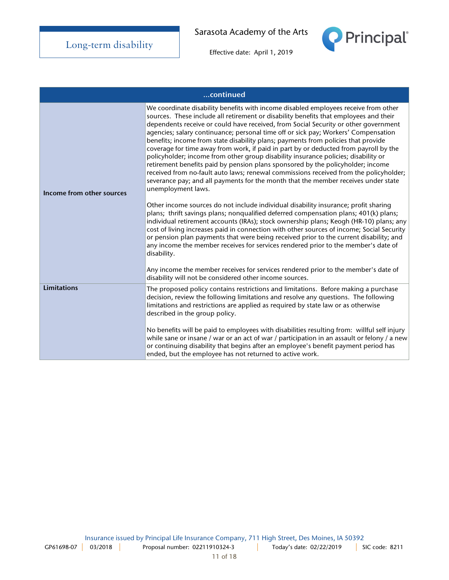

| continued                 |                                                                                                                                                                                                                                                                                                                                                                                                                                                                                                                                                                                                                                                                                                                                                                                                                                                                                                                                                                                                                                                                                                                                                                                                                                                                                                                                                                                                                                                                                                                                                                                                                                            |  |
|---------------------------|--------------------------------------------------------------------------------------------------------------------------------------------------------------------------------------------------------------------------------------------------------------------------------------------------------------------------------------------------------------------------------------------------------------------------------------------------------------------------------------------------------------------------------------------------------------------------------------------------------------------------------------------------------------------------------------------------------------------------------------------------------------------------------------------------------------------------------------------------------------------------------------------------------------------------------------------------------------------------------------------------------------------------------------------------------------------------------------------------------------------------------------------------------------------------------------------------------------------------------------------------------------------------------------------------------------------------------------------------------------------------------------------------------------------------------------------------------------------------------------------------------------------------------------------------------------------------------------------------------------------------------------------|--|
| Income from other sources | We coordinate disability benefits with income disabled employees receive from other<br>sources. These include all retirement or disability benefits that employees and their<br>dependents receive or could have received, from Social Security or other government<br>agencies; salary continuance; personal time off or sick pay; Workers' Compensation<br>benefits; income from state disability plans; payments from policies that provide<br>coverage for time away from work, if paid in part by or deducted from payroll by the<br>policyholder; income from other group disability insurance policies; disability or<br>retirement benefits paid by pension plans sponsored by the policyholder; income<br>received from no-fault auto laws; renewal commissions received from the policyholder;<br>severance pay; and all payments for the month that the member receives under state<br>unemployment laws.<br>Other income sources do not include individual disability insurance; profit sharing<br>plans; thrift savings plans; nonqualified deferred compensation plans; 401(k) plans;<br>individual retirement accounts (IRAs); stock ownership plans; Keogh (HR-10) plans; any<br>cost of living increases paid in connection with other sources of income; Social Security<br>or pension plan payments that were being received prior to the current disability; and<br>any income the member receives for services rendered prior to the member's date of<br>disability.<br>Any income the member receives for services rendered prior to the member's date of<br>disability will not be considered other income sources. |  |
| <b>Limitations</b>        | The proposed policy contains restrictions and limitations. Before making a purchase<br>decision, review the following limitations and resolve any questions. The following<br>limitations and restrictions are applied as required by state law or as otherwise<br>described in the group policy.<br>No benefits will be paid to employees with disabilities resulting from: willful self injury<br>while sane or insane / war or an act of war / participation in an assault or felony / a new<br>or continuing disability that begins after an employee's benefit payment period has<br>ended, but the employee has not returned to active work.                                                                                                                                                                                                                                                                                                                                                                                                                                                                                                                                                                                                                                                                                                                                                                                                                                                                                                                                                                                         |  |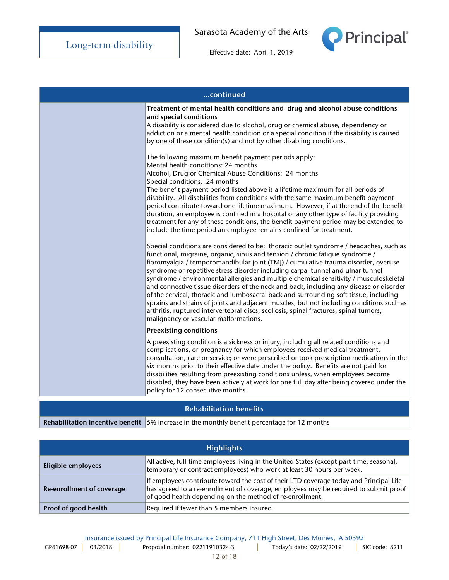

Effective date: April 1, 2019

| continued |                                                                                                                                                                                                                                                                                                                                                                                                                                                                                                                                                                                                                                                                                                                                                                                                                                                                                                                                                                                                                                                                                    |
|-----------|------------------------------------------------------------------------------------------------------------------------------------------------------------------------------------------------------------------------------------------------------------------------------------------------------------------------------------------------------------------------------------------------------------------------------------------------------------------------------------------------------------------------------------------------------------------------------------------------------------------------------------------------------------------------------------------------------------------------------------------------------------------------------------------------------------------------------------------------------------------------------------------------------------------------------------------------------------------------------------------------------------------------------------------------------------------------------------|
|           | Treatment of mental health conditions and drug and alcohol abuse conditions<br>and special conditions<br>A disability is considered due to alcohol, drug or chemical abuse, dependency or<br>addiction or a mental health condition or a special condition if the disability is caused<br>by one of these condition(s) and not by other disabling conditions.<br>The following maximum benefit payment periods apply:<br>Mental health conditions: 24 months<br>Alcohol, Drug or Chemical Abuse Conditions: 24 months<br>Special conditions: 24 months<br>The benefit payment period listed above is a lifetime maximum for all periods of<br>disability. All disabilities from conditions with the same maximum benefit payment<br>period contribute toward one lifetime maximum. However, if at the end of the benefit<br>duration, an employee is confined in a hospital or any other type of facility providing<br>treatment for any of these conditions, the benefit payment period may be extended to<br>include the time period an employee remains confined for treatment. |
|           | Special conditions are considered to be: thoracic outlet syndrome / headaches, such as<br>functional, migraine, organic, sinus and tension / chronic fatigue syndrome /<br>fibromyalgia / temporomandibular joint (TMJ) / cumulative trauma disorder, overuse<br>syndrome or repetitive stress disorder including carpal tunnel and ulnar tunnel<br>syndrome / environmental allergies and multiple chemical sensitivity / musculoskeletal<br>and connective tissue disorders of the neck and back, including any disease or disorder<br>of the cervical, thoracic and lumbosacral back and surrounding soft tissue, including<br>sprains and strains of joints and adjacent muscles, but not including conditions such as<br>arthritis, ruptured intervertebral discs, scoliosis, spinal fractures, spinal tumors,<br>malignancy or vascular malformations.                                                                                                                                                                                                                       |
|           | <b>Preexisting conditions</b>                                                                                                                                                                                                                                                                                                                                                                                                                                                                                                                                                                                                                                                                                                                                                                                                                                                                                                                                                                                                                                                      |
|           | A preexisting condition is a sickness or injury, including all related conditions and<br>complications, or pregnancy for which employees received medical treatment,<br>consultation, care or service; or were prescribed or took prescription medications in the<br>six months prior to their effective date under the policy. Benefits are not paid for<br>disabilities resulting from preexisting conditions unless, when employees become<br>disabled, they have been actively at work for one full day after being covered under the<br>policy for 12 consecutive months.                                                                                                                                                                                                                                                                                                                                                                                                                                                                                                     |

### Rehabilitation benefits

Rehabilitation incentive benefit  $\frac{1}{5\%}$  increase in the monthly benefit percentage for 12 months

| <b>Highlights</b>         |                                                                                                                                                                                                                                            |  |
|---------------------------|--------------------------------------------------------------------------------------------------------------------------------------------------------------------------------------------------------------------------------------------|--|
| Eligible employees        | All active, full-time employees living in the United States (except part-time, seasonal,<br>temporary or contract employees) who work at least 30 hours per week.                                                                          |  |
| Re-enrollment of coverage | If employees contribute toward the cost of their LTD coverage today and Principal Life<br>has agreed to a re-enrollment of coverage, employees may be required to submit proof<br>of good health depending on the method of re-enrollment. |  |
| Proof of good health      | Required if fewer than 5 members insured.                                                                                                                                                                                                  |  |

Insurance issued by Principal Life Insurance Company, 711 High Street, Des Moines, IA 50392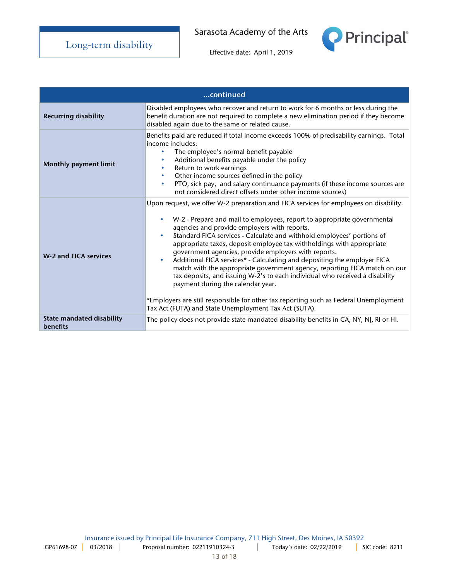

| continued                                           |                                                                                                                                                                                                                                                                                                                                                                                                                                                                                                                                                                                                                                                                                                                                                                                                                                                                                       |  |
|-----------------------------------------------------|---------------------------------------------------------------------------------------------------------------------------------------------------------------------------------------------------------------------------------------------------------------------------------------------------------------------------------------------------------------------------------------------------------------------------------------------------------------------------------------------------------------------------------------------------------------------------------------------------------------------------------------------------------------------------------------------------------------------------------------------------------------------------------------------------------------------------------------------------------------------------------------|--|
| <b>Recurring disability</b>                         | Disabled employees who recover and return to work for 6 months or less during the<br>benefit duration are not required to complete a new elimination period if they become<br>disabled again due to the same or related cause.                                                                                                                                                                                                                                                                                                                                                                                                                                                                                                                                                                                                                                                        |  |
| <b>Monthly payment limit</b>                        | Benefits paid are reduced if total income exceeds 100% of predisability earnings. Total<br>income includes:<br>The employee's normal benefit payable<br>۰<br>Additional benefits payable under the policy<br>$\bullet$<br>Return to work earnings<br>$\bullet$<br>Other income sources defined in the policy<br>$\bullet$<br>PTO, sick pay, and salary continuance payments (if these income sources are<br>$\bullet$<br>not considered direct offsets under other income sources)                                                                                                                                                                                                                                                                                                                                                                                                    |  |
| <b>W-2 and FICA services</b>                        | Upon request, we offer W-2 preparation and FICA services for employees on disability.<br>W-2 - Prepare and mail to employees, report to appropriate governmental<br>agencies and provide employers with reports.<br>Standard FICA services - Calculate and withhold employees' portions of<br>$\bullet$<br>appropriate taxes, deposit employee tax withholdings with appropriate<br>government agencies, provide employers with reports.<br>Additional FICA services* - Calculating and depositing the employer FICA<br>$\bullet$<br>match with the appropriate government agency, reporting FICA match on our<br>tax deposits, and issuing W-2's to each individual who received a disability<br>payment during the calendar year.<br>*Employers are still responsible for other tax reporting such as Federal Unemployment<br>Tax Act (FUTA) and State Unemployment Tax Act (SUTA). |  |
| <b>State mandated disability</b><br><b>benefits</b> | The policy does not provide state mandated disability benefits in CA, NY, NJ, RI or HI.                                                                                                                                                                                                                                                                                                                                                                                                                                                                                                                                                                                                                                                                                                                                                                                               |  |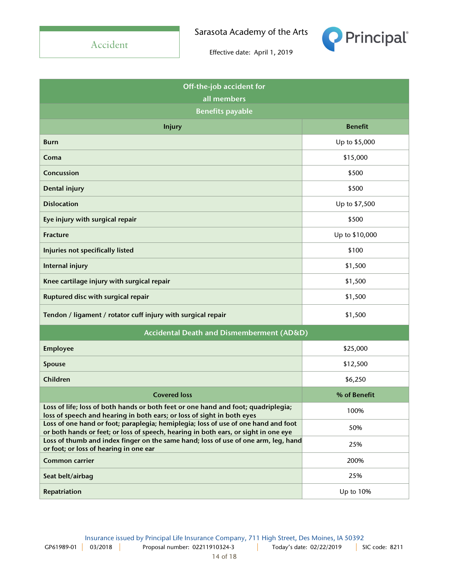Accident

Sarasota Academy of the Arts



| Off-the-job accident for                                                                                                                                                  |                |  |  |
|---------------------------------------------------------------------------------------------------------------------------------------------------------------------------|----------------|--|--|
| all members                                                                                                                                                               |                |  |  |
| <b>Benefits payable</b>                                                                                                                                                   |                |  |  |
| <b>Injury</b>                                                                                                                                                             | <b>Benefit</b> |  |  |
| <b>Burn</b>                                                                                                                                                               | Up to \$5,000  |  |  |
| Coma                                                                                                                                                                      | \$15,000       |  |  |
| Concussion                                                                                                                                                                | \$500          |  |  |
| Dental injury                                                                                                                                                             | \$500          |  |  |
| <b>Dislocation</b>                                                                                                                                                        | Up to \$7,500  |  |  |
| Eye injury with surgical repair                                                                                                                                           | \$500          |  |  |
| <b>Fracture</b>                                                                                                                                                           | Up to \$10,000 |  |  |
| Injuries not specifically listed                                                                                                                                          | \$100          |  |  |
| Internal injury                                                                                                                                                           | \$1,500        |  |  |
| Knee cartilage injury with surgical repair                                                                                                                                | \$1,500        |  |  |
| Ruptured disc with surgical repair                                                                                                                                        | \$1,500        |  |  |
| Tendon / ligament / rotator cuff injury with surgical repair                                                                                                              | \$1,500        |  |  |
| Accidental Death and Dismemberment (AD&D)                                                                                                                                 |                |  |  |
| <b>Employee</b>                                                                                                                                                           | \$25,000       |  |  |
| Spouse                                                                                                                                                                    | \$12,500       |  |  |
| Children                                                                                                                                                                  | \$6,250        |  |  |
| <b>Covered loss</b>                                                                                                                                                       | % of Benefit   |  |  |
| Loss of life; loss of both hands or both feet or one hand and foot; quadriplegia;<br>loss of speech and hearing in both ears; or loss of sight in both eyes               | 100%           |  |  |
| Loss of one hand or foot; paraplegia; hemiplegia; loss of use of one hand and foot<br>or both hands or feet; or loss of speech, hearing in both ears, or sight in one eye | 50%            |  |  |
| Loss of thumb and index finger on the same hand; loss of use of one arm, leg, hand<br>or foot; or loss of hearing in one ear                                              | 25%            |  |  |
| Common carrier                                                                                                                                                            | 200%           |  |  |
| Seat belt/airbag                                                                                                                                                          | 25%            |  |  |
| Repatriation                                                                                                                                                              | Up to 10%      |  |  |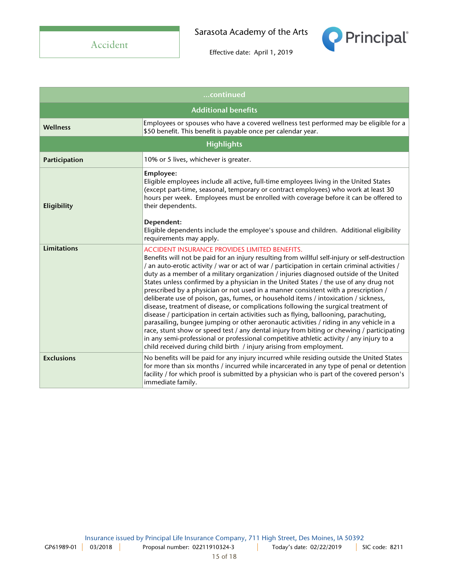

| continued                  |                                                                                                                                                                                                                                                                                                                                                                                                                                                                                                                                                                                                                                                                                                                                                                                                                                                                                                                                                                                                                                                                                                                                                                      |  |
|----------------------------|----------------------------------------------------------------------------------------------------------------------------------------------------------------------------------------------------------------------------------------------------------------------------------------------------------------------------------------------------------------------------------------------------------------------------------------------------------------------------------------------------------------------------------------------------------------------------------------------------------------------------------------------------------------------------------------------------------------------------------------------------------------------------------------------------------------------------------------------------------------------------------------------------------------------------------------------------------------------------------------------------------------------------------------------------------------------------------------------------------------------------------------------------------------------|--|
| <b>Additional benefits</b> |                                                                                                                                                                                                                                                                                                                                                                                                                                                                                                                                                                                                                                                                                                                                                                                                                                                                                                                                                                                                                                                                                                                                                                      |  |
| <b>Wellness</b>            | Employees or spouses who have a covered wellness test performed may be eligible for a<br>\$50 benefit. This benefit is payable once per calendar year.                                                                                                                                                                                                                                                                                                                                                                                                                                                                                                                                                                                                                                                                                                                                                                                                                                                                                                                                                                                                               |  |
| <b>Highlights</b>          |                                                                                                                                                                                                                                                                                                                                                                                                                                                                                                                                                                                                                                                                                                                                                                                                                                                                                                                                                                                                                                                                                                                                                                      |  |
| Participation              | 10% or 5 lives, whichever is greater.                                                                                                                                                                                                                                                                                                                                                                                                                                                                                                                                                                                                                                                                                                                                                                                                                                                                                                                                                                                                                                                                                                                                |  |
| Eligibility                | Employee:<br>Eligible employees include all active, full-time employees living in the United States<br>(except part-time, seasonal, temporary or contract employees) who work at least 30<br>hours per week. Employees must be enrolled with coverage before it can be offered to<br>their dependents.                                                                                                                                                                                                                                                                                                                                                                                                                                                                                                                                                                                                                                                                                                                                                                                                                                                               |  |
|                            | Dependent:<br>Eligible dependents include the employee's spouse and children. Additional eligibility<br>requirements may apply.                                                                                                                                                                                                                                                                                                                                                                                                                                                                                                                                                                                                                                                                                                                                                                                                                                                                                                                                                                                                                                      |  |
| Limitations                | <b>ACCIDENT INSURANCE PROVIDES LIMITED BENEFITS.</b><br>Benefits will not be paid for an injury resulting from willful self-injury or self-destruction<br>/ an auto-erotic activity / war or act of war / participation in certain criminal activities /<br>duty as a member of a military organization / injuries diagnosed outside of the United<br>States unless confirmed by a physician in the United States / the use of any drug not<br>prescribed by a physician or not used in a manner consistent with a prescription /<br>deliberate use of poison, gas, fumes, or household items / intoxication / sickness,<br>disease, treatment of disease, or complications following the surgical treatment of<br>disease / participation in certain activities such as flying, ballooning, parachuting,<br>parasailing, bungee jumping or other aeronautic activities / riding in any vehicle in a<br>race, stunt show or speed test / any dental injury from biting or chewing / participating<br>in any semi-professional or professional competitive athletic activity / any injury to a<br>child received during child birth / injury arising from employment. |  |
| <b>Exclusions</b>          | No benefits will be paid for any injury incurred while residing outside the United States<br>for more than six months / incurred while incarcerated in any type of penal or detention<br>facility / for which proof is submitted by a physician who is part of the covered person's<br>immediate family.                                                                                                                                                                                                                                                                                                                                                                                                                                                                                                                                                                                                                                                                                                                                                                                                                                                             |  |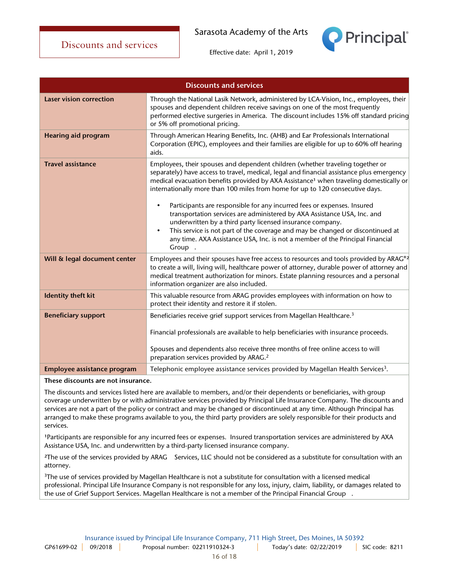**Principal** 



Effective date: April 1, 2019



#### These discounts are not insurance.

The discounts and services listed here are available to members, and/or their dependents or beneficiaries, with group coverage underwritten by or with administrative services provided by Principal Life Insurance Company. The discounts and services are not a part of the policy or contract and may be changed or discontinued at any time. Although Principal has arranged to make these programs available to you, the third party providers are solely responsible for their products and services.

<sup>1</sup>Participants are responsible for any incurred fees or expenses. Insured transportation services are administered by AXA Assistance USA, Inc. and underwritten by a third-party licensed insurance company.

<sup>2</sup>The use of the services provided by ARAG® Services, LLC should not be considered as a substitute for consultation with an attorney.

<sup>3</sup>The use of services provided by Magellan Healthcare is not a substitute for consultation with a licensed medical professional. Principal Life Insurance Company is not responsible for any loss, injury, claim, liability, or damages related to the use of Grief Support Services. Magellan Healthcare is not a member of the Principal Financial Group®.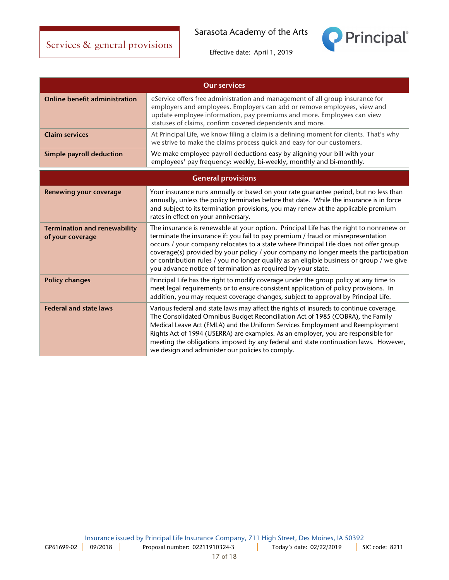

| <b>Our services</b>                                     |                                                                                                                                                                                                                                                                                                                                                                                                                                                                                                                        |  |
|---------------------------------------------------------|------------------------------------------------------------------------------------------------------------------------------------------------------------------------------------------------------------------------------------------------------------------------------------------------------------------------------------------------------------------------------------------------------------------------------------------------------------------------------------------------------------------------|--|
| <b>Online benefit administration</b>                    | eService offers free administration and management of all group insurance for<br>employers and employees. Employers can add or remove employees, view and<br>update employee information, pay premiums and more. Employees can view<br>statuses of claims, confirm covered dependents and more.                                                                                                                                                                                                                        |  |
| <b>Claim services</b>                                   | At Principal Life, we know filing a claim is a defining moment for clients. That's why<br>we strive to make the claims process quick and easy for our customers.                                                                                                                                                                                                                                                                                                                                                       |  |
| <b>Simple payroll deduction</b>                         | We make employee payroll deductions easy by aligning your bill with your<br>employees' pay frequency: weekly, bi-weekly, monthly and bi-monthly.                                                                                                                                                                                                                                                                                                                                                                       |  |
| <b>General provisions</b>                               |                                                                                                                                                                                                                                                                                                                                                                                                                                                                                                                        |  |
| <b>Renewing your coverage</b>                           | Your insurance runs annually or based on your rate guarantee period, but no less than<br>annually, unless the policy terminates before that date. While the insurance is in force<br>and subject to its termination provisions, you may renew at the applicable premium<br>rates in effect on your anniversary.                                                                                                                                                                                                        |  |
| <b>Termination and renewability</b><br>of your coverage | The insurance is renewable at your option. Principal Life has the right to nonrenew or<br>terminate the insurance if: you fail to pay premium / fraud or misrepresentation<br>occurs / your company relocates to a state where Principal Life does not offer group<br>coverage(s) provided by your policy / your company no longer meets the participation<br>or contribution rules / you no longer qualify as an eligible business or group / we give<br>you advance notice of termination as required by your state. |  |
| <b>Policy changes</b>                                   | Principal Life has the right to modify coverage under the group policy at any time to<br>meet legal requirements or to ensure consistent application of policy provisions. In<br>addition, you may request coverage changes, subject to approval by Principal Life.                                                                                                                                                                                                                                                    |  |
| <b>Federal and state laws</b>                           | Various federal and state laws may affect the rights of insureds to continue coverage.<br>The Consolidated Omnibus Budget Reconciliation Act of 1985 (COBRA), the Family<br>Medical Leave Act (FMLA) and the Uniform Services Employment and Reemployment<br>Rights Act of 1994 (USERRA) are examples. As an employer, you are responsible for<br>meeting the obligations imposed by any federal and state continuation laws. However,<br>we design and administer our policies to comply.                             |  |